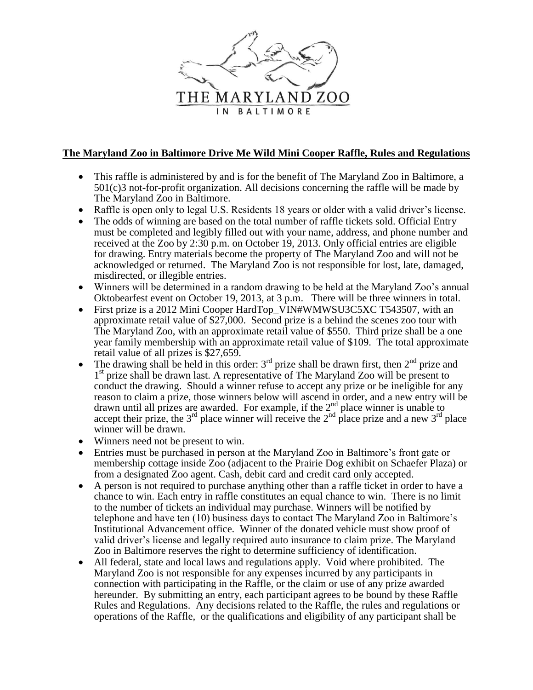

## **The Maryland Zoo in Baltimore Drive Me Wild Mini Cooper Raffle, Rules and Regulations**

- This raffle is administered by and is for the benefit of The Maryland Zoo in Baltimore, a 501(c)3 not-for-profit organization. All decisions concerning the raffle will be made by The Maryland Zoo in Baltimore.
- Raffle is open only to legal U.S. Residents 18 years or older with a valid driver's license.
- The odds of winning are based on the total number of raffle tickets sold. Official Entry must be completed and legibly filled out with your name, address, and phone number and received at the Zoo by 2:30 p.m. on October 19, 2013. Only official entries are eligible for drawing. Entry materials become the property of The Maryland Zoo and will not be acknowledged or returned. The Maryland Zoo is not responsible for lost, late, damaged, misdirected, or illegible entries.
- Winners will be determined in a random drawing to be held at the Maryland Zoo's annual Oktobearfest event on October 19, 2013, at 3 p.m. There will be three winners in total.
- First prize is a 2012 Mini Cooper HardTop VIN#WMWSU3C5XC T543507, with an approximate retail value of \$27,000. Second prize is a behind the scenes zoo tour with The Maryland Zoo, with an approximate retail value of \$550. Third prize shall be a one year family membership with an approximate retail value of \$109. The total approximate retail value of all prizes is \$27,659.
- The drawing shall be held in this order:  $3<sup>rd</sup>$  prize shall be drawn first, then  $2<sup>nd</sup>$  prize and 1<sup>st</sup> prize shall be drawn last. A representative of The Maryland Zoo will be present to conduct the drawing. Should a winner refuse to accept any prize or be ineligible for any reason to claim a prize, those winners below will ascend in order, and a new entry will be drawn until all prizes are awarded. For example, if the  $2<sup>nd</sup>$  place winner is unable to accept their prize, the 3<sup>rd</sup> place winner will receive the 2<sup>nd</sup> place prize and a new 3<sup>rd</sup> place winner will be drawn.
- Winners need not be present to win.
- Entries must be purchased in person at the Maryland Zoo in Baltimore's front gate or membership cottage inside Zoo (adjacent to the Prairie Dog exhibit on Schaefer Plaza) or from a designated Zoo agent. Cash, debit card and credit card only accepted.
- A person is not required to purchase anything other than a raffle ticket in order to have a chance to win. Each entry in raffle constitutes an equal chance to win. There is no limit to the number of tickets an individual may purchase. Winners will be notified by telephone and have ten (10) business days to contact The Maryland Zoo in Baltimore's Institutional Advancement office. Winner of the donated vehicle must show proof of valid driver's license and legally required auto insurance to claim prize. The Maryland Zoo in Baltimore reserves the right to determine sufficiency of identification.
- All federal, state and local laws and regulations apply. Void where prohibited. The Maryland Zoo is not responsible for any expenses incurred by any participants in connection with participating in the Raffle, or the claim or use of any prize awarded hereunder. By submitting an entry, each participant agrees to be bound by these Raffle Rules and Regulations. Any decisions related to the Raffle, the rules and regulations or operations of the Raffle, or the qualifications and eligibility of any participant shall be